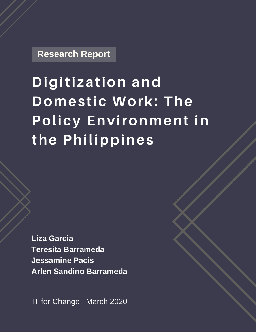# **Research Report**

# **Digitization and Domestic Work: The Policy Environment in the Philippines**

**Liza Garcia Teresita Barrameda Jessamine Pacis Arlen Sandino Barrameda**

IT for Change | March 2020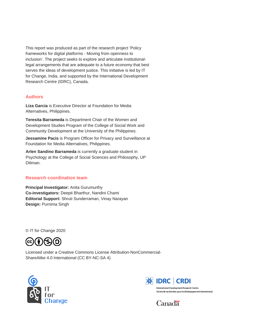This report was produced as part of the research project 'Policy frameworks for digital platforms - Moving from openness to inclusion'. The project seeks to explore and articulate institutionallegal arrangements that are adequate to a future economy that best serves the ideas of development justice. This initiative is led by IT for Change, India, and supported by the International Development Research Centre (IDRC), Canada.

#### **Authors**

**Liza Garcia** is Executive Director at Foundation for Media Alternatives, Philippines.

**Teresita Barrameda** is Department Chair of the Women and Development Studies Program of the College of Social Work and Community Development at the University of the Philippines.

**Jessamine Pacis** is Program Officer for Privacy and Surveillance at Foundation for Media Alternatives, Philippines.

**Arlen Sandino Barrameda** is currently a graduate student in Psychology at the College of Social Sciences and Philosophy, UP Diliman.

#### **Research coordination team**

**Principal Investigator:** Anita Gurumurthy **Co-investigators:** Deepti Bharthur, Nandini Chami **Editorial Support:** Shruti Sunderraman, Vinay Narayan **Design:** Purnima Singh

© IT for Change 2020



Licensed under a Creative Commons License Attribution-NonCommercial-ShareAlike 4.0 International (CC BY-NC-SA 4)





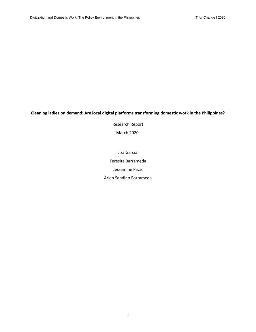**Cleaning ladies on demand: Are local digital platforms transforming domestic work in the Philippines?**

Research Report March 2020

Liza Garcia

Teresita Barrameda Jessamine Pacis Arlen Sandino Barrameda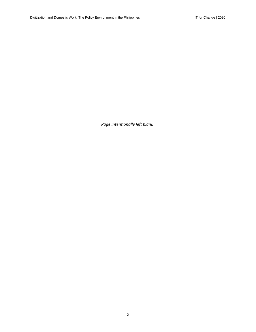*Page intentionally left blank*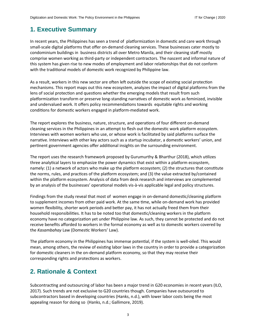# **1. Executive Summary**

In recent years, the Philippines has seen a trend of platformization in domestic and care work through small-scale digital platforms that offer on-demand cleaning services. These businesses cater mostly to condominium buildings in business districts all over Metro Manila, and their cleaning staff mostly comprise women working as third-party or independent contractors. The nascent and informal nature of this system has given rise to new modes of employment and labor relationships that do not conform with the traditional models of domestic work recognized by Philippine law.

As a result, workers in this new sector are often left outside the scope of existing social protection mechanisms. This report maps out this new ecosystem, analyzes the impact of digital platforms from the lens of social protection and questions whether the emerging models that result from such platformization transform or preserve long-standing narratives of domestic work as feminized, invisible and undervalued work. It offers policy recommendations towards equitable rights and working conditions for domestic workers engaged in platform-mediated work.

The report explores the business, nature, structure, and operations of four different on-demand cleaning services in the Philippines in an attempt to flesh out the domestic work platform ecosystem. Interviews with women workers who use, or whose work is facilitated by said platforms surface the narrative. Interviews with other key actors such as a startup incubator, a domestic workers' union, and pertinent government agencies offer additional insights on the surrounding environment.

The report uses the research framework proposed by Gurumurthy & Bharthur (2018), which utilizes three analytical layers to emphasize the power dynamics that exist within a platform ecosystem, namely: (1) a network of actors who make up the platform ecosystem; (2) the structures that constitute the norms, rules, and practices of the platform ecosystem; and (3) the value extracted by/contained within the platform ecosystem. Analysis of data from desk research and interviews are complemented by an analysis of the businesses' operational models vis-à-vis applicable legal and policy structures.

Findings from the study reveal that most of women engage in on-demand domestic/cleaning platform to supplement incomes from other paid work. At the same time, while on-demand work has provided women flexibility, shorter work periods and better pay, it has not actually freed them from their household responsibilities. It has to be noted too that domestic/cleaning workers in the platform economy have no categorization yet under Philippine law. As such, they cannot be protected and do not receive benefits afforded to workers in the formal economy as well as to domestic workers covered by the *Kasambahay* Law (Domestic Workers' Law).

The platform economy in the Philippines has immense potential, if the system is well-oiled. This would mean, among others, the review of existing labor laws in the country in order to provide a categorization for domestic cleaners in the on-demand platform economy, so that they may receive their corresponding rights and protections as workers.

# **2. Rationale & Context**

Subcontracting and outsourcing of labor has been a major trend in G20 economies in recent years (ILO, 2017). Such trends are not exclusive to G20 countries though. Companies have outsourced to subcontractors based in developing countries (Hanks, n.d.), with lower labor costs being the most appealing reason for doing so (Hanks, n.d.; Gallimore, 2019).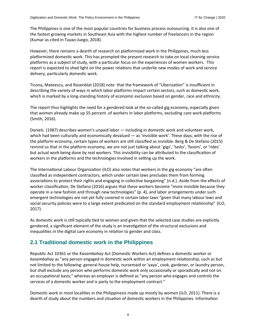The Philippines is one of the most popular countries for business process outsourcing. It is also one of the fastest growing markets in Southeast Asia with the highest number of freelancers in the region (Kumar as cited in Tayao-Juego, 2018).

However, there remains a dearth of research on platformized work in the Philippines, much less platformized domestic work. This has prompted the present research to take on local cleaning service platforms as a subject of study, with a particular focus on the experiences of women workers. This report is expected to shed light on the power relations that underlie new modes of work and service delivery, particularly domestic work.

Ticona, Mateescu, and Rosenblat (2018) note that the framework of "Uberization" is insufficient in describing the variety of ways in which labor platforms impact certain sectors, such as domestic work, which is marked by a long-standing history of economic exclusion based on gender, race and ethnicity.

The report thus highlights the need for a gendered look at the so-called gig economy, especially given that women already make up 55 percent of workers in labor platforms, excluding care work platforms (Smith, 2016).

Daniels (1987) describes women's unpaid labor — including in domestic work and volunteer work, which had been culturally and economically devalued — as 'invisible work'. These days, with the rise of the platform economy, certain types of workers are still classified as invisible. Berg & De Stefano (2015) remind us that in the platform economy, we are not just talking about 'gigs', 'tasks', 'favors', or 'rides' but actual work being done by real workers. This invisibility can be attributed to the classification of workers in the platforms and the technologies involved in setting up the work.

The International Labour Organization (ILO) also notes that workers in the gig economy "are often classified as independent contractors, which under certain laws precludes them from forming associations to protect their rights and engaging in collective bargaining" (n.d.). Aside from the effects of worker classification, De Stefano (2016) argues that these workers become "more invisible because they operate in a new fashion and through new technologies" (p. 4), and labor arrangements under such emergent technologies are not yet fully covered in certain labor laws "given that many labour laws and social security policies were to a large extent predicated on the standard employment relationship" (ILO, 2017).

As domestic work is still typically tied to women and given that the selected case studies are explicitly gendered, a significant element of the study is an investigation of the structural exclusions and inequalities in the digital care economy in relation to gender and class.

# **2.1 Traditional domestic work in the Philippines**

Republic Act 10361 or the *Kasambahay* Act (Domestic Workers Act) defines a domestic worker or *kasambahay* as "any person engaged in domestic work within an employment relationship, such as but not limited to the following: general house help, nursemaid or 'yaya', cook, gardener, or laundry person, but shall exclude any person who performs domestic work only occasionally or sporadically and not on an occupational basis;" whereas an employer is defined as "any person who engages and controls the services of a domestic worker and is party to the employment contract."

Domestic work in most localities in the Philippinesis made up mostly by women (ILO, 2011). There is a dearth of study about the numbers and situation of domestic workers in the Philippines. Information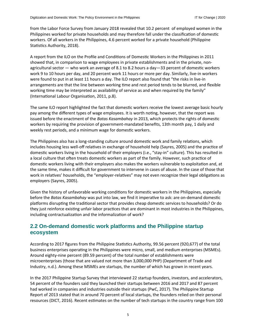from the Labor Force Survey from January 2018 revealed that 10.2 percent of employed women in the Philippines worked for private households and may therefore fall under the classification of domestic workers. Of all workers in the Philippines, 4.6 percent worked for a private household (Philippine Statistics Authority, 2018).

A report from the ILO on the Profile and Conditions of Domestic Workers in the Philippines in 2011 showed that, in comparison to wage employees in private establishments and in the private, nonagricultural sector ― who work an average of 8.1 to 8.2 hours a day―33 percent of domestic workers work 9 to 10 hours per day, and 20 percent work 11 hours or more per day. Similarly, live-in workers were found to put in at least 11 hours a day. The ILO report also found that "the risks in live-in arrangements are that the line between working time and rest period tends to be blurred, and flexible working time may be interpreted as availability of service as and when required by the family" (International Labour Organisation, 2011, p.8).

The same ILO report highlighted the fact that domestic workers receive the lowest average basic hourly pay among the different types of wage employees. It is worth noting, however, that the report was issued before the enactment of the *Batas Kasambahay* in 2013, which protects the rights of domestic workers by requiring the provision of government-mandated benefits, 13th month pay, 1 daily and weekly rest periods, and a minimum wage for domestic workers.

The Philippines also has a long-standing culture around domestic work and family relations, which includes housing less well-off relatives in exchange of household help (Sayres, 2005) and the practice of domestic workers living in the household of their employers (i.e., "stay-in" culture). This has resulted in a local culture that often treats domestic workers as part of the family. However, such practice of domestic workers living with their employers also makes the workers vulnerable to exploitation and, at the same time, makes it difficult for government to intervene in cases of abuse. In the case of those that work in relatives' households, the "employer-relatives" may not even recognize their legal obligations as employers (Sayres, 2005).

Given the history of unfavorable working conditions for domestic workers in the Philippines, especially before the *Batas Kasambahay* was put into law, we find it imperative to ask: are on-demand domestic platforms disrupting the traditional sector that provides cheap domestic services to households? Or do they just reinforce existing unfair labor practices that are dominant in most industries in the Philippines, including contractualization and the informalization of work?

# **2.2 On-demand domestic work platforms and the Philippine startup ecosystem**

According to 2017 figures from the Philippine Statistics Authority, 99.56 percent (920,677) of the total business enterprises operating in the Philippines were micro, small, and medium enterprises (MSMEs). Around eighty-nine percent (89.59 percent) of the total number of establishments were microenterprises (those that are valued not more than 3,000,000 PHP) (Department of Trade and Industry, n.d.). Among these MSMEs are startups, the number of which has grown in recent years.

In the 2017 Philippine Startup Survey that interviewed 22 startup founders, investors, and accelerators, 54 percent of the founders said they launched their startups between 2016 and 2017 and 87 percent had worked in companies and industries outside their startups (PwC, 2017). The Philippine Startup Report of 2013 stated that in around 70 percent of local startups, the founders relied on their personal resources (DICT, 2016). Recent estimates on the number of tech startups in the country range from 100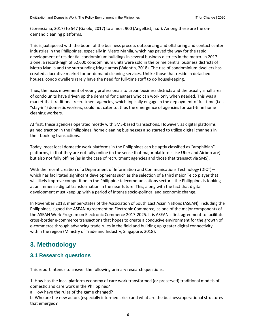(Lorenciana, 2017) to 547 (Galolo, 2017) to almost 900 (AngelList, n.d.). Among these are the ondemand cleaning platforms.

This is juxtaposed with the boom of the business process outsourcing and offshoring and contact center industries in the Philippines, especially in Metro Manila, which has paved the way for the rapid development of residential condominium buildings in several business districts in the metro. In 2017 alone, a record-high of 52,600 condominium units were sold in the prime central business districts of Metro Manila and the surrounding fringe areas (Valentin, 2018). The rise of condominium dwellers has created a lucrative market for on-demand cleaning services. Unlike those that reside in detached houses, condo dwellers rarely have the need for full-time staff to do housekeeping.

Thus, the mass movement of young professionals to urban business districts and the usually small area of condo units have driven up the demand for cleaners who can work only when needed. This was a market that traditional recruitment agencies, which typically engage in the deployment of full-time (i.e., "stay-in") domestic workers, could not cater to; thus the emergence of agencies for part-time home cleaning workers.

At first, these agencies operated mostly with SMS-based transactions. However, as digital platforms gained traction in the Philippines, home cleaning businesses also started to utilize digital channels in their booking transactions.

Today, most local domestic work platforms in the Philippines can be aptly classified as "amphibian" platforms, in that they are not fully online (in the sense that major platforms like Uber and Airbnb are) but also not fully offline (as in the case of recruitment agencies and those that transact via SMS).

With the recent creation of a Department of Information and Communications Technology (DICT) which has facilitated significant developments such as the selection of a third major Telco player that will likely improve competition in the Philippine telecommunications sector—the Philippines is looking at an immense digital transformation in the near future. This, along with the fact that digital development must keep up with a period of intense socio-political and economic change.

In November 2018, member-states of the Association of South East Asian Nations (ASEAN), including the Philippines, signed the ASEAN Agreement on Electronic Commerce, as one of the major components of the ASEAN Work Program on Electronic Commerce 2017-2025. It is ASEAN's first agreement to facilitate cross-border e-commerce transactions that hopes to create a conducive environment for the growth of e-commerce through advancing trade rules in the field and building up greater digital connectivity within the region (Ministry of Trade and Industry, Singapore, 2018).

# **3. Methodology**

### **3.1 Research questions**

This report intends to answer the following primary research questions:

1. How has the local platform economy of care work transformed (or preserved) traditional models of domestic and care work in the Philippines?

a. How have the rules of the game changed?

b. Who are the new actors (especially intermediaries) and what are the business/operational structures that emerged?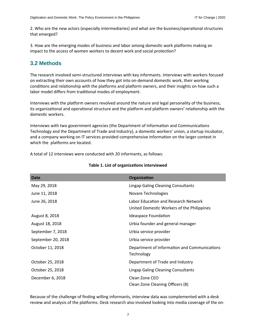2. Who are the new actors (especially intermediaries) and what are the business/operational structures that emerged?

3. How are the emerging modes of business and labor among domestic work platforms making an impact to the access of women workers to decent work and social protection?

## **3.2 Methods**

The research involved semi-structured interviews with key informants. Interviews with workers focused on extracting their own accounts of how they got into on-demand domestic work, their working conditions and relationship with the platforms and platform owners, and their insights on how such a labor model differs from traditional modes of employment.

Interviews with the platform owners revolved around the nature and legal personality of the business, its organizational and operational structure and the platform and platform owners' relationship with the domestic workers.

Interviews with two government agencies (the Department of Information and Communications Technology and the Department of Trade and Industry), a domestic workers' union, a startup incubator, and a company working on IT services provided comprehensive information on the larger context in which the platforms are located.

A total of 12 interviews were conducted with 20 informants, as follows:

| <b>Date</b>        | Organization                                                                       |
|--------------------|------------------------------------------------------------------------------------|
| May 29, 2018       | Lingap Galing Cleaning Consultants                                                 |
| June 11, 2018      | Novare Technologies                                                                |
| June 26, 2018      | Labor Education and Research Network<br>United Domestic Workers of the Philippines |
| August 8, 2018     | <b>Ideaspace Foundation</b>                                                        |
| August 18, 2018    | Urbia founder and general manager                                                  |
| September 7, 2018  | Urbia service provider                                                             |
| September 20, 2018 | Urbia service provider                                                             |
| October 11, 2018   | Department of Information and Communications<br>Technology                         |
| October 25, 2018   | Department of Trade and Industry                                                   |
| October 25, 2018   | <b>Lingap Galing Cleaning Consultants</b>                                          |
| December 6, 2018   | Clean Zone CEO<br>Clean Zone Cleaning Officers (8)                                 |

#### **Table 1. List of organizations interviewed**

Because of the challenge of finding willing informants, interview data was complemented with a desk review and analysis of the platforms. Desk research also involved looking into media coverage of the on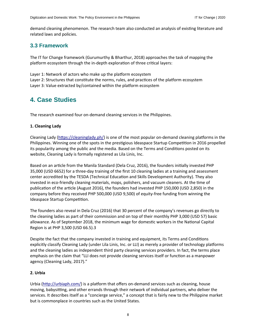demand cleaning phenomenon. The research team also conducted an analysis of existing literature and related laws and policies.

## **3.3 Framework**

The IT for Change framework (Gurumurthy & Bharthur, 2018) approaches the task of mapping the platform ecosystem through the in-depth exploration of three critical layers:

Layer 1: Network of actors who make up the platform ecosystem Layer 2: Structures that constitute the norms, rules, and practices of the platform ecosystem Layer 3: Value extracted by/contained within the platform ecosystem

# **4. Case Studies**

The research examined four on-demand cleaning services in the Philippines.

#### **1. Cleaning Lady**

Cleaning Lady [\(https://cleaninglady.ph/\)](https://cleaninglady.ph/) is one of the most popular on-demand cleaning platforms in the Philippines. Winning one of the spots in the prestigious Ideaspace Startup Competition in 2016 propelled its popularity among the public and the media. Based on the Terms and Conditions posted on its website, Cleaning Lady is formally registered as Lila Linis, Inc.

Based on an article from the Manila Standard (Dela Cruz, 2016), the founders initially invested PHP 35,000 (USD 6652) for a three-day training of the first 10 cleaning ladies at a training and assessment center accredited by the TESDA (Technical Education and Skills Development Authority). They also invested in eco-friendly cleaning materials, mops, polishers, and vacuum cleaners. At the time of publication of the article (August 2016), the founders had invested PHP 150,000 (USD 2,850) in the company before they received PHP 500,000 (USD 9,500) of equity-free funding from winning the Ideaspace Startup Competition.

The founders also reveal in Dela Cruz (2016) that 30 percent of the company's revenues go directly to the cleaning ladies as part of their commission and on top of their monthly PHP 3,000 (USD 57) basic allowance. As of September 2018, the minimum wage for domestic workers in the National Capital Region is at PHP 3,500 (USD 66.5).3

Despite the fact that the company invested in training and equipment, its Terms and Conditions explicitly classify Cleaning Lady (under Lila Linis, Inc. or LLI) as merely a provider of technology platforms and the cleaning ladies as independent third party cleaning services providers. In fact, the terms place emphasis on the claim that "LLI does not provide cleaning services itself or function as a manpower agency (Cleaning Lady, 2017)."

#### **2. Urbia**

Urbia [\(http://urbiaph.com/\)](http://urbiaph.com/) is a platform that offers on-demand services such as cleaning, house moving, babysitting, and other errands through their network of individual partners, who deliver the services. It describes itself as a "concierge service," a concept that is fairly new to the Philippine market but is commonplace in countries such as the United States.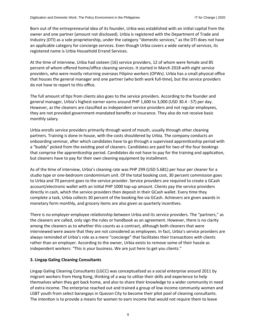Born out of the entrepreneurial idea of its founder, Urbia was established with an initial capital from the owner and one partner (amount not disclosed). Urbia is registered with the Department of Trade and Industry (DTI) as a sole proprietorship, under the category "domestic services," as the DTI does not have an applicable category for concierge services. Even though Urbia covers a wide variety of services, its registered name is Urbia Household Errand Services.

At the time of interview, Urbia had sixteen (16) service providers, 12 of whom were female and 85 percent of whom offered home/office cleaning services. It started in March 2018 with eight service providers, who were mostly returning overseas Filipino workers (OFWs). Urbia has a small physical office that houses the general manager and one partner (who both work full-time), but the service providers do not have to report to this office.

The full amount of tips from clients also goes to the service providers. According to the founder and general manager, Urbia's highest earner earns around PHP 1,600 to 3,000 (USD 30.4 - 57) per day. However, as the cleaners are classified as independent service providers and not regular employees, they are not provided government-mandated benefits or insurance. They also do not receive basic monthly salary.

Urbia enrolls service providers primarily through word of mouth, usually through other cleaning partners. Training is done in-house, with the costs shouldered by Urbia. The company conducts an onboarding seminar, after which candidates have to go through a supervised apprenticeship period with a "buddy" picked from the existing pool of cleaners. Candidates are paid for two of the four bookings that comprise the apprenticeship period. Candidates do not have to pay for the training and application, but cleaners have to pay for their own cleaning equipment by installment.

As of the time of interview, Urbia's cleaning rate was PHP 299 (USD 5.681) per hour per cleaner for a studio type or one-bedroom condominium unit. Of the total booking cost, 30 percent commission goes to Urbia and 70 percent goes to the service provider. Service providers are required to create a GCash account/electronic wallet with an initial PHP 1000 top-up amount. Clients pay the service providers directly in cash, which the service providers then deposit in their GCash wallet. Every time they complete a task, Urbia collects 30 percent of the booking fee via GCash. Achievers are given awards in monetary form monthly, and grocery items are also given as quarterly incentives.

There is no employer-employee relationship between Urbia and its service providers. The "partners," as the cleaners are called, only sign the rules or handbook as an agreement. However, there is no clarity among the cleaners as to whether this counts as a contract, although both cleaners that were interviewed were aware that they are not considered as employees. In fact, Urbia's service providers are always reminded of Urbia's role as a mere "concierge" that facilitates their transactions with clients rather than an employer. According to the owner, Urbia exists to remove some of their hassle as independent workers: "This is your business. We are just here to get you clients."

#### **3. Lingap Galing Cleaning Consultants**

Lingap Galing Cleaning Consultants (LGCC) was conceptualized as a social enterprise around 2011 by migrant workers from Hong Kong, thinking of a way to utilize their skills and experience to help themselves when they got back home, and also to share their knowledge to a wider community in need of extra income. The enterprise reached out and trained a group of low income community women and LGBT youth from select barangays in Quezon City to become their pilot pool of cleaning consultants. The intention is to provide a means for women to earn income that would not require them to leave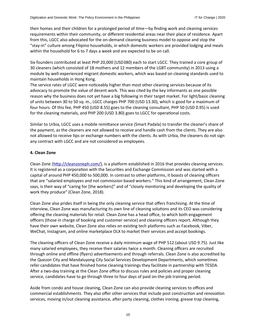their homes and their children for a prolonged period of time―by finding work and cleaning services requirements within their community, or different residential areas near their place of residence. Apart from this, LGCC also advocated for the on-demand cleaning business model to oppose and stop the "stay-in" culture among Filipino households, in which domestic workers are provided lodging and meals within the household for 6 to 7 days a week and are expected to be on call.

Six founders contributed at least PHP 20,000 (USD380) each to start LGCC. They trained a core group of 30 cleaners (which consisted of 18 mothers and 12 members of the LGBT community) in 2013 using a module by well-experienced migrant domestic workers, which was based on cleaning standards used to maintain households in Hong Kong.

The service rates of LGCC were noticeably higher than most other cleaning services because of its advocacy to promote the value of decent work. This was cited by the key informants as one possible reason why the business does not yet have a big following in their target market. For light/basic cleaning of units between 30 to 50 sq. m., LGCC charges PHP 700 (USD 13.30), which is good for a maximum of four hours. Of this fee, PHP 450 (USD 8.55) goes to the cleaning consultant, PHP 50 (USD 0.95) is used for the cleaning materials, and PHP 200 (USD 3.80) goes to LGCC for operational costs.

Similar to Urbia, LGCC uses a mobile remittance service (Smart Padala) to transfer the cleaner's share of the payment, as the cleaners are not allowed to receive and handle cash from the clients. They are also not allowed to receive tips or exchange numbers with the clients. As with Urbia, the cleaners do not sign any contract with LGCC and are not considered as employees.

#### **4. Clean Zone**

Clean Zone [\(http://cleanzoneph.com/\)](http://cleanzoneph.com/), is a platform established in 2016 that provides cleaning services. It is registered as a corporation with the Securities and Exchange Commission and was started with a capital of around PHP 450,000 to 500,000. In contrast to other platforms, it boasts of cleaning officers that are "salaried employees and not commission based workers." This kind of arrangement, Clean Zone says, is their way of "caring for [the workers]" and of "closely monitoring and developing the quality of work they produce" (Clean Zone, 2018).

Clean Zone also prides itself in being the only cleaning service that offers franchising. At the time of interview, Clean Zone was manufacturing its own line of cleaning solutions and its CEO was considering offering the cleaning materials for retail. Clean Zone has a head office, to which both engagement officers (those in charge of booking and customer service) and cleaning officers report. Although they have their own website, Clean Zone also relies on existing tech platforms such as Facebook, Viber, WeChat, Instagram, and online marketplace OLX to market their services and accept bookings.

The cleaning officers of Clean Zone receive a daily minimum wage of PHP 512 (about USD 9.75). Just like many salaried employees, they receive their salaries twice a month. Cleaning officers are recruited through online and offline (flyers) advertisements and through referrals. Clean Zone is also accredited by the Quezon City and Mandaluyong City Social Services Development Departments, which sometimes refer candidates that have finished home cleaning trainings they facilitate in partnership with TESDA. After a two-day training at the Clean Zone office to discuss rules and policies and proper cleaning service, candidates have to go through three to four days of paid on-the-job training period.

Aside from condo and house cleaning, Clean Zone can also provide cleaning services to offices and commercial establishments. They also offer other services that include post construction and renovation services, moving in/out cleaning assistance, after party cleaning, clothes ironing, grease trap cleaning,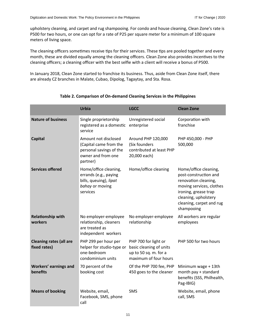upholstery cleaning, and carpet and rug shampooing. For condo and house cleaning, Clean Zone's rate is P500 for two hours, or one can opt for a rate of P25 per square meter for a minimum of 100 square meters of living space.

The cleaning officers sometimes receive tips for their services. These tips are pooled together and every month, these are divided equally among the cleaning officers. Clean Zone also provides incentives to the cleaning officers; a cleaning officer with the best selfie with a client will receive a bonus of P500.

In January 2018, Clean Zone started to franchise its business. Thus, aside from Clean Zone itself, there are already CZ branches in Malate, Cubao, Dipolog, Tagaytay, and Sta. Rosa.

|                                                | <b>Urbia</b>                                                                                                | <b>LGCC</b>                                                                                       | <b>Clean Zone</b>                                                                                                                                                                            |
|------------------------------------------------|-------------------------------------------------------------------------------------------------------------|---------------------------------------------------------------------------------------------------|----------------------------------------------------------------------------------------------------------------------------------------------------------------------------------------------|
| <b>Nature of business</b>                      | Single proprietorship<br>registered as a domestic<br>service                                                | Unregistered social<br>enterprise                                                                 | Corporation with<br>franchise                                                                                                                                                                |
| <b>Capital</b>                                 | Amount not disclosed<br>(Capital came from the<br>personal savings of the<br>owner and from one<br>partner) | Around PHP 120,000<br>(Six founders<br>contributed at least PHP<br>20,000 each)                   | PHP 450,000 - PHP<br>500,000                                                                                                                                                                 |
| <b>Services offered</b>                        | Home/office cleaning,<br>errands (e.g., paying<br>bills, queuing), lipat<br>bahay or moving<br>services     | Home/office cleaning                                                                              | Home/office cleaning,<br>post-construction and<br>renovation cleaning,<br>moving services, clothes<br>ironing, grease trap<br>cleaning, upholstery<br>cleaning, carpet and rug<br>shampooing |
| <b>Relationship with</b><br>workers            | No employer-employee<br>relationship, cleaners<br>are treated as<br>independent workers                     | No employer-employee<br>relationship                                                              | All workers are regular<br>employees                                                                                                                                                         |
| <b>Cleaning rates (all are</b><br>fixed rates) | PHP 299 per hour per<br>helper for studio-type or<br>one-bedroom<br>condominium units                       | PHP 700 for light or<br>basic cleaning of units<br>up to 50 sq. m. for a<br>maximum of four hours | PHP 500 for two hours                                                                                                                                                                        |
| Workers' earnings and<br>benefits              | 70 percent of the<br>booking cost                                                                           | Of the PHP 700 fee, PHP<br>450 goes to the cleaner                                                | Minimum wage + 13th<br>month pay + standard<br>benefits (SSS, Philhealth,<br>Pag-IBIG)                                                                                                       |
| <b>Means of booking</b>                        | Website, email,<br>Facebook, SMS, phone<br>call                                                             | <b>SMS</b>                                                                                        | Website, email, phone<br>call, SMS                                                                                                                                                           |

#### **Table 2. Comparison of On-demand Cleaning Services in the Philippines**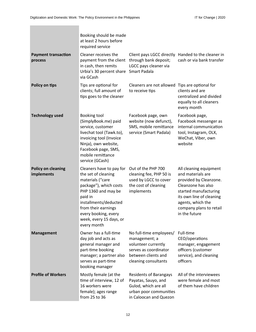T.

|                                         | Booking should be made<br>at least 2 hours before<br>required service                                                                                                                                                                             |                                                                                                                                         |                                                                                                                                                                                                                   |
|-----------------------------------------|---------------------------------------------------------------------------------------------------------------------------------------------------------------------------------------------------------------------------------------------------|-----------------------------------------------------------------------------------------------------------------------------------------|-------------------------------------------------------------------------------------------------------------------------------------------------------------------------------------------------------------------|
| <b>Payment transaction</b><br>process   | Cleaner receives the<br>payment from the client<br>in cash, then remits<br>Urbia's 30 percent share Smart Padala<br>via GCash                                                                                                                     | Client pays LGCC directly<br>through bank deposit;<br>LGCC pays cleaner via                                                             | Handed to the cleaner in<br>cash or via bank transfer                                                                                                                                                             |
| Policy on tips                          | Tips are optional for<br>clients; full amount of<br>tips goes to the cleaner                                                                                                                                                                      | Cleaners are not allowed Tips are optional for<br>to receive tips                                                                       | clients and are<br>centralized and divided<br>equally to all cleaners<br>every month                                                                                                                              |
| <b>Technology used</b>                  | <b>Booking tool</b><br>(SimplyBook.me) paid<br>service, customer<br>livechat tool (Tawk.to),<br>invoicing tool (Invoice<br>Ninja), own website,<br>Facebook page, SMS,<br>mobile remittance<br>service (GCash)                                    | Facebook page, own<br>website (now defunct),<br>SMS, mobile remittance<br>service (Smart Padala)                                        | Facebook page,<br>Facebook messenger as<br>internal communication<br>tool, Instagram, OLX,<br>WeChat, Viber, own<br>website                                                                                       |
| <b>Policy on cleaning</b><br>implements | Cleaners have to pay for<br>the set of cleaning<br>materials ("care<br>package"), which costs<br>PHP 1360 and may be<br>paid in<br>installments/deducted<br>from their earnings<br>every booking, every<br>week, every 15 days, or<br>every month | Out of the PHP 700<br>cleaning fee, PHP 50 is<br>used by LGCC to cover<br>the cost of cleaning<br>implements                            | All cleaning equipment<br>and materials are<br>provided by Cleanzone.<br>Cleanzone has also<br>started manufacturing<br>its own line of cleaning<br>agents, which the<br>company plans to retail<br>in the future |
| <b>Management</b>                       | Owner has a full-time<br>day job and acts as<br>general manager and<br>part-time booking<br>manager; a partner also<br>serves as part-time<br>booking manager                                                                                     | No full-time employees/<br>management; a<br>volunteer currently<br>serves as coordinator<br>between clients and<br>cleaning consultants | Full-time<br>CEO/operations<br>manager, engagement<br>officers (customer<br>service), and cleaning<br>officers                                                                                                    |
| <b>Profile of Workers</b>               | Mostly female (at the<br>time of interview, 12 of<br>16 workers were<br>female); ages range<br>from 25 to 36                                                                                                                                      | <b>Residents of Barangays</b><br>Payatas, Sauyo, and<br>Gulod, which are all<br>urban poor communities<br>in Caloocan and Quezon        | All of the interviewees<br>were female and most<br>of them have children                                                                                                                                          |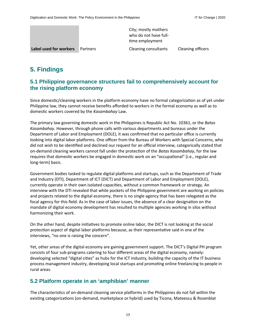

# **5. Findings**

# **5.1 Philippine governance structures fail to comprehensively account for the rising platform economy**

Since domestic/cleaning workers in the platform economy have no formal categorization as of yet under Philippine law, they cannot receive benefits afforded to workers in the formal economy as well as to domestic workers covered by the *Kasambahay* Law.

The primary law governing domestic work in the Philippines is Republic Act No. 10361, or the *Batas Kasambahay*. However, through phone calls with various departments and bureaus under the Department of Labor and Employment (DOLE), it was confirmed that no particular office is currently looking into digital labor platforms. One officer from the Bureau of Workers with Special Concerns, who did not wish to be identified and declined our request for an official interview, categorically stated that on-demand cleaning workers cannot fall under the protection of the *Batas Kasambahay*, for the law requires that domestic workers be engaged in domestic work on an "occupational" (i.e., regular and long-term) basis.

Government bodies tasked to regulate digital platforms and startups, such as the Department of Trade and Industry (DTI), Department of ICT (DICT) and Department of Labor and Employment (DOLE), currently operate in their own isolated capacities, without a common framework or strategy. An interview with the DTI revealed that while pockets of the Philippine government are working on policies and projects related to the digital economy, there is no single agency that has been relegated as the focal agency for this field. As in the case of labor issues, the absence of a clear designation on the mandate of digital economy development has resulted to multiple agencies working in silos without harmonizing their work.

On the other hand, despite initiatives to promote online labor, the DICT is not looking at the social protection aspect of digital labor platforms because, as their representative said in one of the interviews, "no one is raising the concern".

Yet, other areas of the digital economy are gaining government support. The DICT's Digital PH program consists of four sub-programs catering to four different areas of the digital economy, namely: developing selected "digital cities" as hubs for the ICT industry, building the capacity of the IT business process management industry, developing local startups and promoting online freelancing to people in rural areas.

# **5.2 Platform operate in an 'amphibian' manner**

The characteristics of on-demand cleaning service platforms in the Philippines do not fall within the existing categorizations (on-demand, marketplace or hybrid) used by Ticona, Mateescu & Rosenblat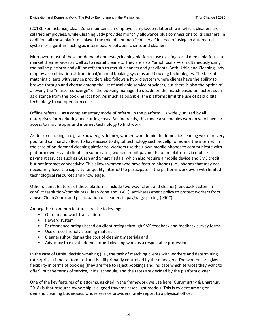(2018). For instance, Clean Zone maintains an employer-employee relationship in which, cleaners are salaried employees, while Cleaning Lady provides monthly allowance plus commissions to its cleaners. In addition, all these platforms played the role of a human "concierge' instead of using an automated system or algorithm, acting as intermediary between clients and cleaners.

Moreover, most of these on-demand domestic/cleaning platforms use existing social media platforms to market their services as well as to recruit cleaners. They are also "amphibians ― simultaneously using the online platform and offline referrals to recruit cleaners and get clients. Both Urbia and Cleaning Lady employ a combination of traditional/manual booking systems and booking technologies. The task of matching clients with service providers also follows a hybrid system where clients have the ability to browse through and choose among the list of available service providers, but there is also the option of allowing the "master concierge" or the booking manager to decide on the match based on factors such as distance from the booking location. As much as possible, the platforms limit the use of paid digital technology to cut operation costs.

Offline referral―as a complementary mode of referral in the platform―is widely utilized by all enterprises for marketing and cutting costs. But indirectly, this mode also enables women who have no access to mobile apps and internet technology to find work.

Aside from lacking in digital knowledge/fluency, women who dominate domestic/cleaning work are very poor and can hardly afford to have access to digital technology such as cellphones and the internet. In the case of on-demand cleaning platforms, workers use their own mobile phones to communicate with platform owners and clients. In some cases, workers remit payments to the platform via mobile payment services such as GCash and Smart Padala, which also require a mobile device and SMS credit, but not internet connectivity. This allows women who have feature phones (i.e., phones that may not necessarily have the capacity for quality internet) to participate in the platform work even with limited technological resources and knowledge.

Other distinct features of these platforms include two-way (client and cleaner) feedback system in conflict resolution/complaints (Clean Zone and LGCC), anti-harassment policy to protect workers from abuse (Clean Zone), and participation of cleaners in pay/wage pricing (LGCC).

Among their common features are the following:

- On-demand work transaction
- Reward system
- Performance ratings based on client ratings through SMS feedback and feedback survey forms
- Use of eco-friendly cleaning materials
- Cleaners shouldering the cost of cleaning materials and
- Advocacy to elevate domestic and cleaning work as a respectable profession.

In the case of Urbia, decision-making (i.e., the task of matching clients with workers and determining rates/prices) is not automated and is still primarily controlled by the managers. The workers are given flexibility in terms of booking (they are free to reject bookings and indicate which services they want to offer), but the terms of service, initial schedule, and the rates are decided by the platform owner.

One of the key features of platforms, as cited in the framework we use here (Gurumurthy & Bharthur, 2018) is that resource ownership is aligned towards asset-light models. This is evident among ondemand cleaning businesses, whose service providers rarely report to a physical office.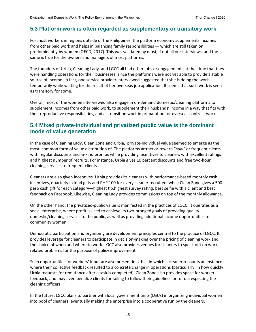# **5.3 Platform work is often regarded as supplementary or transitory work**

For most workers in regions outside of the Philippines, the platform economy supplements incomes from other paid work and helps in balancing family responsibilities — which are still taken on predominantly by women (OECD, 2017). This was validated by most, if not all our interviews, and the same is true for the owners and managers of most platforms.

The founders of Urbia, Cleaning Lady, and LGCC all had other jobs or engagements at the time that they were handling operations for their businesses, since the platforms were not yet able to provide a stable source of income. In fact, one service provider interviewed suggested that she is doing the work temporarily while waiting for the result of her overseas job application. It seems that such work is seen as transitory for some.

Overall, most of the women interviewed also engage in on-demand domestic/cleaning platforms to supplement incomes from other paid work, to supplement their husbands' income in a way that fits with their reproductive responsibilities, and as transition work in preparation for overseas contract work.

## **5.4 Mixed private-individual and privatized public value is the dominant mode of value generation**

In the case of Cleaning Lady, Clean Zone and Urbia, private-individual value seemed to emerge as the most common form of value distribution of. The platforms attract or reward "*suki*" or frequent clients with regular discounts and in-kind promos while providing incentives to cleaners with excellent ratings and highest number of recruits. For instance, Urbia gives 10 percent discounts and free two-hour cleaning services to frequent clients.

Cleaners are also given incentives. Urbia provides its cleaners with performance-based monthly cash incentives, quarterly in-kind gifts and PHP 100 for every cleaner recruited, while Clean Zone gives a 500 peso cash gift for each category―highest tip,highest survey rating, best selfie with a client and best feedback on Facebook. Likewise, Cleaning Lady provides commissions on top of the monthly allowance.

On the other hand, the privatized-public value is manifested in the practices of LGCC. It operates as a social enterprise, where profit is used to achieve its two-pronged goals of providing quality domestic/cleaning services to the public, as well as providing additional income opportunities to community women.

Democratic participation and organizing are development principles central to the practice of LGCC. It provides leverage for cleaners to participate in decision-making over the pricing of cleaning work and the choice of when and where to work. LGCC also provides venues for cleaners to speak out on workrelated problems for the purpose of policy improvement.

Such opportunities for workers' input are also present in Urbia, in which a cleaner recounts an instance where their collective feedback resulted to a concrete change in operations (particularly, in how quickly Urbia requests for remittance after a task is completed). Clean Zone also provides space for worker feedback, and may even penalize clients for failing to follow their guidelines or for disrespecting the cleaning officers.

In the future, LGCC plans to partner with local government units (LGUs) in organizing individual women into pool of cleaners, eventually making the enterprise into a cooperative run by the cleaners.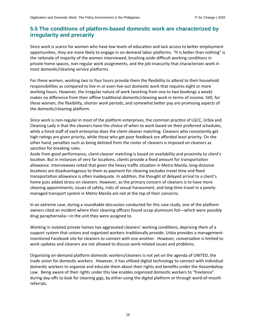## **5.5 The conditions of platform-based domestic work are characterized by irregularity and precarity**

Since work is scarce for women who have low levels of education and lack access to better employment opportunities, they are more likely to engage in on-demand labor platforms. "It is better than nothing" is the rationale of majority of the women interviewed, brushing aside difficult working conditions in private home spaces, non-regular work assignments, and the job insecurity that characterizes work in most domestic/cleaning service platforms.

For these women, working two to four hours provide them the flexibility to attend to their household responsibilities as compared to live-in or even live-out domestic work that requires eight or more working hours. However, the irregular nature of work (working from one to two bookings a week) makes no difference from their offline traditional domestic/cleaning work in terms of income. Still, for these women, the flexibility, shorter work periods, and somewhat better pay are promising aspects of the domestic/cleaning platform.

Since work is non-regular in most of the platform enterprises, the common practice of LGCC, Urbia and Cleaning Lady is that the cleaners have the choice of when to work based on their preferred schedules, while a hired staff of each enterprise does the client-cleaner matching. Cleaners who consistently get high ratings are given priority, while those who get poor feedback are afforded least priority. On the other hand, penalties such as being delisted from the roster of cleaners is imposed on cleaners as sanction for breaking rules.

Aside from good performance, client-cleaner matching is based on availability and proximity to client's location. But in instances of very far locations, clients provide a fixed amount for transportation allowance. Interviewees noted that given the heavy traffic situation in Metro Manila, long-distance locations are disadvantageous to them as payment for cleaning excludes travel time and fixed transportation allowance is often inadequate. In addition, the thought of delayed arrival to a client's home puts added stress on cleaners. However, as the primary concern of cleaners is to have more cleaning appointments, issues of safety, risks of sexual harassment, and long-time travel in a poorlymanaged transport system in Metro Manila are not at the top of their concerns.

In an extreme case, during a roundtable discussion conducted for this case study, one of the platform owners cited an incident where their cleaning officers found scrap aluminum foil―which were possibly drug paraphernalia―in the unit they were assigned to.

Working in isolated private homes has aggravated cleaners' working conditions, depriving them of a support system that unions and organized workers traditionally provide. Urbia provides a managementmonitored Facebook site for cleaners to connect with one another. However, conversation is limited to work updates and cleaners are not allowed to discuss work-related issues and problems.

Organizing on-demand platform domestic workers/cleaners is not yet on the agenda of UNITED, the trade union for domestic workers. However, it has utilized digital technology to connect with individual domestic workers to organize and educate them about their rights and benefits under the *Kasambahay* Law. Being aware of their rights under this law enables organized domestic workers to "freelance" during day-offs to look for cleaning gigs, by either using the digital platform or through word-of-mouth referrals.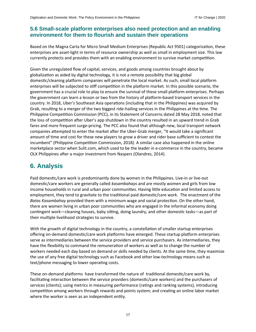# **5.6 Small-scale platform enterprises also need protection and an enabling environment for them to flourish and sustain their operations**

Based on the Magna Carta for Micro Small Medium Enterprises (Republic Act 9501) categorization, these enterprises are asset-light in terms of resource ownership as well as small in employment size. This law currently protects and provides them with an enabling environment to survive market competition.

Given the unregulated flow of capital, services, and goods among countries brought about by globalization as aided by digital technology, it is not a remote possibility that big global domestic/cleaning platform companies will penetrate the local market. As such, small local platform enterprises will be subjected to stiff competition in the platform market. In this possible scenario, the government has a crucial role to play to ensure the survival of these small platform enterprises. Perhaps the government can learn a lesson or two from the history of platform-based transport services in the country. In 2018, Uber's Southeast Asia operations (including that in the Philippines) was acquired by Grab, resulting to a merger of the two biggest ride-hailing services in the Philippines at the time. The Philippine Competition Commission (PCC), in its Statement of Concerns dated 28 May 2018, noted that the loss of competition after Uber's app shutdown in the country resulted in an upward trend in Grab fares and more frequent surge-pricing. The PCC also found that although new, local transport network companies attempted to enter the market after the Uber-Grab merger, "It would take a significant amount of time and cost for these new players to grow a driver and rider base sufficient to contest the incumbent" (Philippine Competition Commission, 2018). A similar case also happened in the online marketplace sector when Sulit.com, which used to be the leader in e-commerce in the country, became OLX Philippines after a major investment from Naspers (Olandres, 2014).

# **6. Analysis**

Paid domestic*/*care work is predominantly done by women in the Philippines. Live-in or live-out domestic/care workers are generally called *kasambahays* and are mostly women and girls from low income households in rural and urban poor communities. Having little education and limited access to employment, they tend to gravitate to the traditional paid domestic/care work. The enactment of the *Batas Kasambahay* provided them with a minimum wage and social protection. On the other hand, there are women living in urban poor communities who are engaged in the informal economy doing contingent work―cleaning houses, baby sitting, doing laundry, and other domestic tasks―as part of their multiple livelihood strategies to survive.

With the growth of digital technology in the country, a constellation of smaller startup enterprises offering on-demand domestic/care work platforms have emerged. These startup platform enterprises serve as intermediaries between the service providers and service purchasers. As intermediaries, they have the flexibility to command the remuneration of workers as well as to change the number of workers needed each day based on demand or skills needed by clients. At the same time, they maximize the use of any free digital technology such as Facebook and other low-technology means such as text/phone messaging to lower operating costs.

These on-demand platforms have transformed the nature of traditional domestic/care work by, facilitating interaction between the service providers (domestic/care workers) and the purchasers of services (clients); using metrics in measuring performance (ratings and ranking systems), introducing competition among workers through rewards and points system; and creating an online labor market where the worker is seen as an independent entity.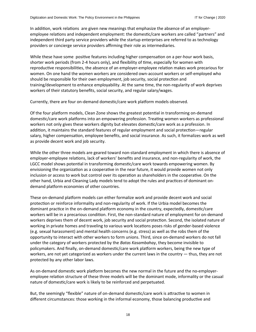In addition, work relations are given new meanings that emphasize the absence of an employeremployee relations and independent employment: the domestic/care workers are called "partners" and independent third party service providers while the startup enterprises are referred to as technology providers or concierge service providers affirming their role as intermediaries.

While these have some positive features including higher compensation on a per-hour work basis, shorter work periods (from 2-4 hours only), and flexibility of time, especially for women with reproductive responsibilities, the absence of an employer-employee relation makes work precarious for women. On one hand the women workers are considered own-account workers or self-employed who should be responsible for their own employment, job security, social protection and training/development to enhance employability. At the same time, the non-regularity of work deprives workers of their statutory benefits, social security, and regular salary/wages.

Currently, there are four on-demand domestic/care work platform models observed.

Of the four platform models, Clean Zone shows the greatest potential in transforming on-demand domestic/care work platforms into an empowering profession. Treating women workers as professional workers not only gives these workers dignity but elevates domestic/care work as a profession. In addition, it maintains the standard features of regular employment and social protection―regular salary, higher compensation, employee benefits, and social insurance. As such, it formalizes work as well as provide decent work and job security.

While the other three models are geared toward non-standard employment in which there is absence of employer-employee relations, lack of workers' benefits and insurance, and non-regularity of work, the LGCC model shows potential in transforming domestic/care work towards empowering women. By envisioning the organization as a cooperative in the near future, it would provide women not only inclusion or access to work but control over its operation as shareholders in the cooperative. On the other hand, Urbia and Cleaning Lady models tend to adopt the rules and practices of dominant ondemand platform economies of other countries.

These on-demand platform models can either formalize work and provide decent work and social protection or reinforce informality and non-regularity of work. If the Urbia model becomes the dominant practice in the on-demand platform economy in the country, expectedly, domestic/care workers will be in a precarious condition. First, the non-standard nature of employment for on-demand workers deprives them of decent work, job security and social protection. Second, the isolated nature of working in private homes and traveling to various work locations poses risks of gender-based violence (e.g. sexual harassment) and mental health concerns (e.g. stress) as well as the robs them of the opportunity to interact with other workers to form unions. Third, since on-demand workers do not fall under the category of workers protected by the *Batas Kasambahay*, they become invisible to policymakers. And finally, on-demand domestic/care work platform workers, being the new type of workers, are not yet categorized as workers under the current laws in the country ― thus, they are not protected by any other labor laws.

As on-demand domestic work platform becomes the new normal in the future and the no-employeremployee relation structure of these three models will be the dominant mode, informality or the casual nature of domestic/care work is likely to be reinforced and perpetuated.

But, the seemingly "flexible" nature of on-demand domestic/care work is attractive to women in different circumstances: those working in the informal economy, those balancing productive and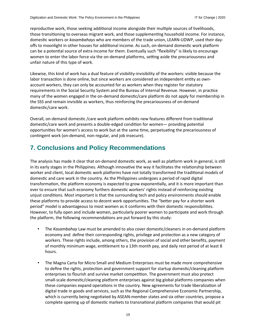reproductive work, those seeking additional income alongside their multiple sources of livelihoods, those transitioning to overseas migrant work, and those supplementing household income. For instance, domestic workers or *kasambahays* who are members of the trade union, LEARN-UDWP, used their dayoffs to moonlight in other houses for additional income. As such, on-demand domestic work platform can be a potential source of extra income for them. Eventually such "flexibility" is likely to encourage women to enter the labor force via the on-demand platforms, setting aside the precariousness and unfair nature of this type of work.

Likewise, this kind of work has a dual feature of visibility-invisibility of the workers: visible because the labor transaction is done online, but since workers are considered an independent entity as ownaccount workers, they can only be accounted for as workers when they register for statutory requirements in the Social Security System and the Bureau of Internal Revenue. However, in practice many of the women engaged in the on-demand domestic/care platform do not apply for membership in the SSS and remain invisible as workers, thus reinforcing the precariousness of on-demand domestic/care work.

Overall, on-demand domestic /care work platform exhibits new features different from traditional domestic/care work and presents a double-edged condition for women― providing potential opportunities for women's access to work but at the same time, perpetuating the precariousness of contingent work (on-demand, non-regular, and job insecure).

# **7. Conclusions and Policy Recommendations**

The analysis has made it clear that on-demand domestic work, as well as platform work in general, is still in its early stages in the Philippines. Although innovative the way it facilitates the relationship between worker and client, local domestic work platforms have not totally transformed the traditional models of domestic and care work in the country. As the Philippines undergoes a period of rapid digital transformation, the platform economy is expected to grow exponentially, and it is more important than ever to ensure that such economy furthers domestic workers' rights instead of reinforcing existing unjust conditions. Most important is that the surrounding tech and policy environments should enable these platforms to provide access to decent work opportunities. The "better pay for a shorter work period" model is advantageous to most women as it conforms with their domestic responsibilities. However, to fully open and include women, particularly poorer women to participate and work through the platform, the following recommendations are put forward by this study:

- The *Kasambahay* Law must be amended to also cover domestic/cleaners in on-demand platform economy and define their corresponding rights, privilege and protection as a new category of workers. These rights include, among others, the provision of social and other benefits, payment of monthly minimum wage, entitlement to a 13th month pay, and daily rest period of at least 8 hours.
- The Magna Carta for Micro Small and Medium Enterprises must be made more comprehensive to define the rights, protection and government support for startup domestic/cleaning platform enterprises to flourish and survive market competition. The government must also protect small-scale domestic/cleaning platform enterprises against big global platforms companies when these companies expand operations in the country. New agreements for trade liberalization of digital trade in goods and services, such as the Regional Comprehensive Economic Partnership, which is currently being negotiated by ASEAN-member states and six other countries, propose a complete opening up of domestic markets to transnational platform companies that would pit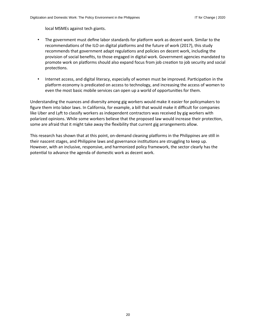local MSMEs against tech giants.

- The government must define labor standards for platform work as decent work. Similar to the recommendations of the ILO on digital platforms and the future of work (2017), this study recommends that government adapt regulations and policies on decent work, including the provision of social benefits, to those engaged in digital work. Government agencies mandated to promote work on platforms should also expand focus from job creation to job security and social protections.
- Internet access, and digital literacy, especially of women must be improved. Participation in the platform economy is predicated on access to technology, and increasing the access of women to even the most basic mobile services can open up a world of opportunities for them.

Understanding the nuances and diversity among gig workers would make it easier for policymakers to figure them into labor laws. In California, for example, a bill that would make it difficult for companies like Uber and Lyft to classify workers as independent contractors was received by gig workers with polarized opinions. While some workers believe that the proposed law would increase their protection, some are afraid that it might take away the flexibility that current gig arrangements allow.

This research has shown that at this point, on-demand cleaning platforms in the Philippines are still in their nascent stages, and Philippine laws and governance institutions are struggling to keep up. However, with an inclusive, responsive, and harmonized policy framework, the sector clearly has the potential to advance the agenda of domestic work as decent work.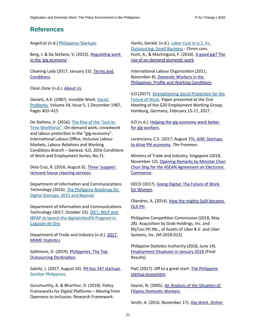# **References**

AngelList (n.d.) [Philippines Startups.](https://angel.co/philippines)

Berg, J. & De Stefano, V. (2015). Regulating work [in the 'gig economy'](https://iloblog.org/2015/07/10/regulating-work-in-the-gig-economy/).

Cleaning Lady (2017, January 23). Terms and [Conditions](https://cleaninglady.ph/Terms-Conditions)*.* 

Clean Zone (n.d.). [About Us.](http://cleanzoneph.com/about-us/)

Daniels, A.K. (1987). Invisible Work. [Social](https://academic.oup.com/socpro/article-abstract/34/5/403/1665982?redirectedFrom=fulltext)  [Problems,](https://academic.oup.com/socpro/article-abstract/34/5/403/1665982?redirectedFrom=fulltext) Volume 34, Issue 5, 1 December 1987, Pages 403–415

De Stefano, V. (2016). [The Rise of the "Just-in-](https://www.ilo.org/wcmsp5/groups/public/---ed_protect/---protrav/---travail/documents/publication/wcms_443267.pdf)[Time Workforce":](https://www.ilo.org/wcmsp5/groups/public/---ed_protect/---protrav/---travail/documents/publication/wcms_443267.pdf) On-demand work, crowdwork and labour protection in the "gig-economy". International Labour Office, Inclusive Labour Markets, Labour Relations and Working Conditions Branch – Geneva: ILO, 2016 Conditions of Work and Employment Series; No.71.

Dela Cruz, R. (2016, August 6). [Three 'yuppies'](http://manilastandard.net/business/212586/three-yuppies-reinvent-house-cleaning-services.html)  [reinvent house cleaning services.](http://manilastandard.net/business/212586/three-yuppies-reinvent-house-cleaning-services.html)

Department of Information and Communications Technology (2016). [The Philippine Roadmap for](http://www.dict.gov.ph/wp-content/uploads/2016/08/StartupRoadmap_Final.pdf)  [Digital Startups: 2015 and Beyond.](http://www.dict.gov.ph/wp-content/uploads/2016/08/StartupRoadmap_Final.pdf)

Department of Information and Communications Technology (2017, October 23). DICT, NICP and [IBPAP to launch the digitalcitiesPH Program in](http://dict.gov.ph/dict-nicp-ibpap-launch-digitalcitiesph-program-cagayan-de-oro/)  [Cagayan de Oro](http://dict.gov.ph/dict-nicp-ibpap-launch-digitalcitiesph-program-cagayan-de-oro/)*.* 

Department of Trade and Industry (n.d.). [2017](https://www.dti.gov.ph/business/msmes/msme-resources/msme-statistics)  [MSME Statistics.](https://www.dti.gov.ph/business/msmes/msme-resources/msme-statistics)

Gallimore, D. (2019). [Philippines: The Top](https://outsourceaccelerator.com/articles/philippines-the-top-outsourcing-destination/)  [Outsourcing Destination.](https://outsourceaccelerator.com/articles/philippines-the-top-outsourcing-destination/)

Galolo, J. (2017, August 24). [PH has 547 startups.](https://www.sunstar.com.ph/article/160359) *SunStar Philippines.* 

Gurumurthy, A. & Bharthur, D. (2018). Policy Frameworks for Digital Platforms – Moving from Openness to Inclusion, Research Framework.

Hanks, Gerald. (n.d.). Labor Cost in U.S. Vs. [Outsourcing. Small Business](https://smallbusiness.chron.com/labor-cost-us-vs-outsourcing-72140.html) - Chron.com. Hunt, A., & Machingura, F. (2016). [A good gig? The](https://www.odi.org/sites/odi.org.uk/files/resource-documents/11155.pdfx) [rise of on-demand domestic work.](https://www.odi.org/sites/odi.org.uk/files/resource-documents/11155.pdfx)

International Labour Organization (2011, November 8). [Domestic Workers in the](https://www.ilo.org/wcmsp5/groups/public/@ed_protect/@protrav/@travail/documents/publication/wcms_167021.pdf)  [Philippines: Profile and Working Conditions.](https://www.ilo.org/wcmsp5/groups/public/@ed_protect/@protrav/@travail/documents/publication/wcms_167021.pdf)

ILO (2017). [Strengthening Social Protection for the](https://www.ilo.org/wcmsp5/groups/public/---europe/---ro-geneva/---ilo-berlin/documents/genericdocument/wcms_556986.pdf) [Future of Work.](https://www.ilo.org/wcmsp5/groups/public/---europe/---ro-geneva/---ilo-berlin/documents/genericdocument/wcms_556986.pdf) Paper presented at the 2nd Meeting of the G20 Employment Working Group, Hamburg, Germany, February 15-17, 2017.

ILO (n.d.). Helping the gig economy work better [for gig workers.](https://www.ilo.org/washington/WCMS_642303/lang--en/index.htm)

Lorenciana, C.S. (2017, August 2[3\). AIM: Startups](https://www.philstar.com/the-freeman/cebu-business/2017/08/23/1732112/aim-startups-drive-phl-economy)  [to drive Phl economy.](https://www.philstar.com/the-freeman/cebu-business/2017/08/23/1732112/aim-startups-drive-phl-economy) *The Freeman.* 

Ministry of Trade and Industry, Singapore (2018, November 12). [Opening Remarks by Minister Chan](https://www.mti.gov.sg/te-IN/Newsroom/Speeches/2018/11/Opening-remarks-for-the-ASEAN-Agreement-on-Electronic-Commerce) [Chun Sing for the ASEAN Agreement on Electronic](https://www.mti.gov.sg/te-IN/Newsroom/Speeches/2018/11/Opening-remarks-for-the-ASEAN-Agreement-on-Electronic-Commerce)  [Commerce.](https://www.mti.gov.sg/te-IN/Newsroom/Speeches/2018/11/Opening-remarks-for-the-ASEAN-Agreement-on-Electronic-Commerce)

OECD (2017). [Going Digital: The Future of Work](https://www.mti.gov.sg/te-IN/Newsroom/Speeches/2018/11/Opening-remarks-for-the-ASEAN-Agreement-on-Electronic-Commerce)  [for Women.](https://www.mti.gov.sg/te-IN/Newsroom/Speeches/2018/11/Opening-remarks-for-the-ASEAN-Agreement-on-Electronic-Commerce)

Olandres, A. (2014). [How the mighty Sulit became](https://www.yugatech.com/the-internet/how-the-mighty-sulit-became-olx-ph/)  [OLX PH.](https://www.yugatech.com/the-internet/how-the-mighty-sulit-became-olx-ph/)

Philippine Competition Commission (2018, May 28). Acquisition by Grab Holdings, Inc. and MyTaxi.PH INc., of Assets of Uber B.V. and Uber Systems, Inc. (M-2018-012).

Philippine Statistics Authority (2018, June 14). [Employment Situatuon in January 2018](http://www.psa.gov.ph/content/employment-situation-january-2018-final-results) (Final Results).

PwC (2017). Off to a great start: The Philippine [startup ecosystem.](https://www.pwc.com/ph/en/ceo-survey/2017/pwc-qbo-2017-philippine-startup-survey.pdf)

Sayres, N. (2005). An Analysis of the Situation of [Filipino Domestic Workers.](http://www.oit.org/wcmsp5/groups/public/---asia/---ro-bangkok/---ilo-manila/documents/publication/wcms_124895.pdf)

Smith, A. (2016, November 17). *[Gig Work, Online](https://www.pewinternet.org/2016/11/17/labor-platforms-technology-enabled-gig-work/)*